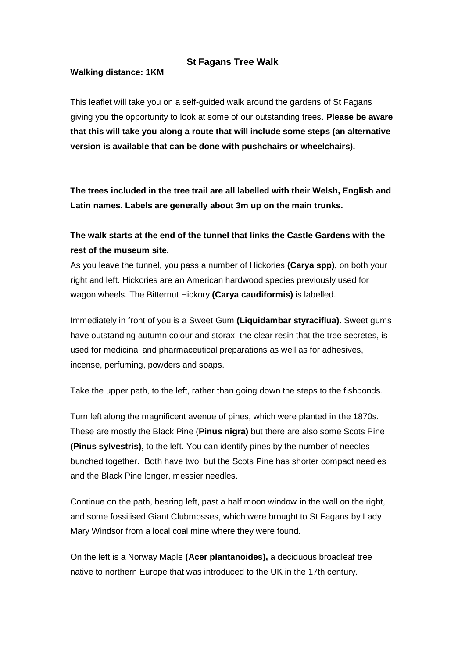## **St Fagans Tree Walk**

## **Walking distance: 1KM**

This leaflet will take you on a self-guided walk around the gardens of St Fagans giving you the opportunity to look at some of our outstanding trees. **Please be aware that this will take you along a route that will include some steps (an alternative version is available that can be done with pushchairs or wheelchairs).**

**The trees included in the tree trail are all labelled with their Welsh, English and Latin names. Labels are generally about 3m up on the main trunks.** 

## **The walk starts at the end of the tunnel that links the Castle Gardens with the rest of the museum site.**

As you leave the tunnel, you pass a number of Hickories **(Carya spp),** on both your right and left. Hickories are an American hardwood species previously used for wagon wheels. The Bitternut Hickory **(Carya caudiformis)** is labelled.

Immediately in front of you is a Sweet Gum **(Liquidambar styraciflua).** Sweet gums have outstanding autumn colour and storax, the clear resin that the tree secretes, is used for medicinal and pharmaceutical preparations as well as for adhesives, incense, perfuming, powders and soaps.

Take the upper path, to the left, rather than going down the steps to the fishponds.

Turn left along the magnificent avenue of pines, which were planted in the 1870s. These are mostly the Black Pine (**Pinus nigra)** but there are also some Scots Pine **(Pinus sylvestris),** to the left. You can identify pines by the number of needles bunched together. Both have two, but the Scots Pine has shorter compact needles and the Black Pine longer, messier needles.

Continue on the path, bearing left, past a half moon window in the wall on the right, and some fossilised Giant Clubmosses, which were brought to St Fagans by Lady Mary Windsor from a local coal mine where they were found.

On the left is a Norway Maple **(Acer plantanoides),** a deciduous broadleaf tree native to northern Europe that was introduced to the UK in the 17th century.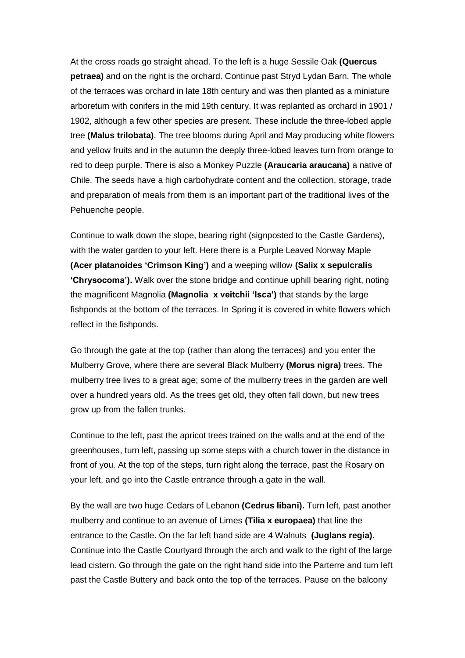At the cross roads go straight ahead. To the left is a huge Sessile Oak **(Quercus petraea)** and on the right is the orchard. Continue past Stryd Lydan Barn. The whole of the terraces was orchard in late 18th century and was then planted as a miniature arboretum with conifers in the mid 19th century. It was replanted as orchard in 1901 / 1902, although a few other species are present. These include the three-lobed apple tree **(Malus trilobata)**. The tree blooms during April and May producing white flowers and yellow fruits and in the autumn the deeply three-lobed leaves turn from orange to red to deep purple. There is also a Monkey Puzzle **(Araucaria araucana)** a native of Chile. The seeds have a high carbohydrate content and the collection, storage, trade and preparation of meals from them is an important part of the traditional lives of the Pehuenche people.

Continue to walk down the slope, bearing right (signposted to the Castle Gardens), with the water garden to your left. Here there is a Purple Leaved Norway Maple **(Acer platanoides 'Crimson King')** and a weeping willow **(Salix x sepulcralis 'Chrysocoma').** Walk over the stone bridge and continue uphill bearing right, noting the magnificent Magnolia **(Magnolia x veitchii 'Isca')** that stands by the large fishponds at the bottom of the terraces. In Spring it is covered in white flowers which reflect in the fishponds.

Go through the gate at the top (rather than along the terraces) and you enter the Mulberry Grove, where there are several Black Mulberry **(Morus nigra)** trees. The mulberry tree lives to a great age; some of the mulberry trees in the garden are well over a hundred years old. As the trees get old, they often fall down, but new trees grow up from the fallen trunks.

Continue to the left, past the apricot trees trained on the walls and at the end of the greenhouses, turn left, passing up some steps with a church tower in the distance in front of you. At the top of the steps, turn right along the terrace, past the Rosary on your left, and go into the Castle entrance through a gate in the wall.

By the wall are two huge Cedars of Lebanon **(Cedrus libani).** Turn left, past another mulberry and continue to an avenue of Limes **(Tilia x europaea)** that line the entrance to the Castle. On the far left hand side are 4 Walnuts **(Juglans regia).** Continue into the Castle Courtyard through the arch and walk to the right of the large lead cistern. Go through the gate on the right hand side into the Parterre and turn left past the Castle Buttery and back onto the top of the terraces. Pause on the balcony